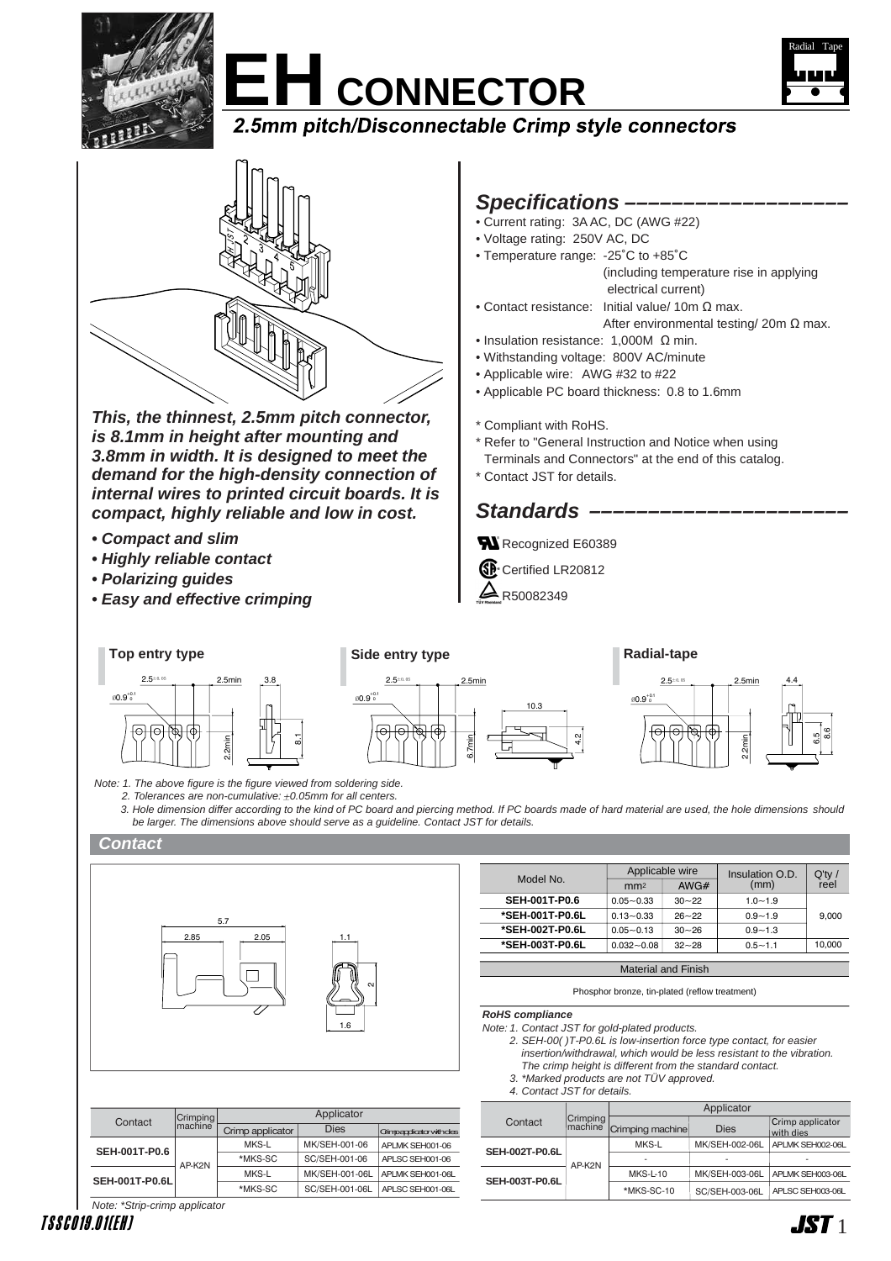







**This, the thinnest, 2.5mm pitch connector, is 8.1mm in height after mounting and 3.8mm in width. It is designed to meet the demand for the high-density connection of internal wires to printed circuit boards. It is compact, highly reliable and low in cost.**

- **Compact and slim**
- **Highly reliable contact**
- **Polarizing guides**
- **Easy and effective crimping**

## **Specifications –––––––––––––––––––**

- Current rating: 3A AC, DC (AWG #22)
- Voltage rating: 250V AC, DC
- Temperature range: -25˚C to +85˚C (including temperature rise in applying electrical current)
- Contact resistance: Initial value/ 10m Ω max.
	- After environmental testing/ 20m Ω max.
- Insulation resistance: 1,000M Ω min.
- Withstanding voltage: 800V AC/minute
- Applicable wire: AWG #32 to #22
- Applicable PC board thickness: 0.8 to 1.6mm
- \* Compliant with RoHS.
- \* Refer to "General Instruction and Notice when using Terminals and Connectors" at the end of this catalog.
- \* Contact JST for details.

# Standards –

- Recognized E60389
- **SP** Certified LR20812
- $\Delta$  R50082349



2. Tolerances are non-cumulative:  $\pm 0.05$ mm for all centers.

3. Hole dimension differ according to the kind of PC board and piercing method. If PC boards made of hard material are used, the hole dimensions should be larger. The dimensions above should serve as a guideline. Contact JST for details.

### **Contact**



| Model No.                  | Applicable wire |           | Insulation O.D. | $Q'$ ty /<br>reel |  |
|----------------------------|-----------------|-----------|-----------------|-------------------|--|
|                            | mm <sub>2</sub> | AWG#      | (mm)            |                   |  |
| <b>SEH-001T-P0.6</b>       | $0.05 - 0.33$   | $30 - 22$ | $1.0 - 1.9$     |                   |  |
| *SEH-001T-P0.6L            | $0.13 - 0.33$   | $26 - 22$ | $0.9 - 1.9$     | 9.000             |  |
| *SEH-002T-P0.6L            | $0.05 - 0.13$   | $30 - 26$ | $0.9 - 1.3$     |                   |  |
| *SEH-003T-P0.6L            | $0.032 - 0.08$  | $32 - 28$ | $0.5 - 1.1$     | 10.000            |  |
|                            |                 |           |                 |                   |  |
| <b>Material and Finish</b> |                 |           |                 |                   |  |

Phosphor bronze, tin-plated (reflow treatment)

**RoHS compliance**

- Note: 1. Contact JST for gold-plated products.
	- 2. SEH-00( )T-P0.6L is low-insertion force type contact, for easier insertion/withdrawal, which would be less resistant to the vibration.
	- The crimp height is different from the standard contact.
	- 3. \*Marked products are not TÜV approved. 4. Contact JST for details.

|                       |                     | Applicator       |                |                               |  |
|-----------------------|---------------------|------------------|----------------|-------------------------------|--|
| Contact               | Crimping<br>machine | Crimping machine | <b>Dies</b>    | Crimp applicator<br>with dies |  |
| <b>SEH-002T-P0.6L</b> | AP-K2N              | MKS-L            | MK/SEH-002-06L | APLMK SEH002-06L              |  |
|                       |                     |                  |                | ۰                             |  |
| <b>SEH-003T-P0.6L</b> |                     | <b>MKS-L-10</b>  | MK/SEH-003-06L | APLMK SEH003-06L              |  |
|                       |                     | *MKS-SC-10       | SC/SEH-003-06L | APLSC SEH003-06L              |  |

|  |                               |                     |                  | Applicator     |                              |  |  |
|--|-------------------------------|---------------------|------------------|----------------|------------------------------|--|--|
|  | Contact                       | Crimping<br>machine |                  |                |                              |  |  |
|  |                               |                     | Crimp applicator | <b>Dies</b>    | <b>Gimpagdicator vithdes</b> |  |  |
|  | <b>SEH-001T-P0.6</b>          | AP-K2N              | MKS-L            | MK/SEH-001-06  | APLMK SEH001-06              |  |  |
|  |                               |                     | *MKS-SC          | SC/SEH-001-06  | APLSC SEH001-06              |  |  |
|  | <b>SEH-001T-P0.6L</b>         |                     | MKS-L            | MK/SEH-001-06L | APLMK SEH001-06L             |  |  |
|  |                               |                     | *MKS-SC          | SC/SEH-001-06L | APLSC SEH001-06L             |  |  |
|  | Note: *Strip-crimp applicator |                     |                  |                |                              |  |  |

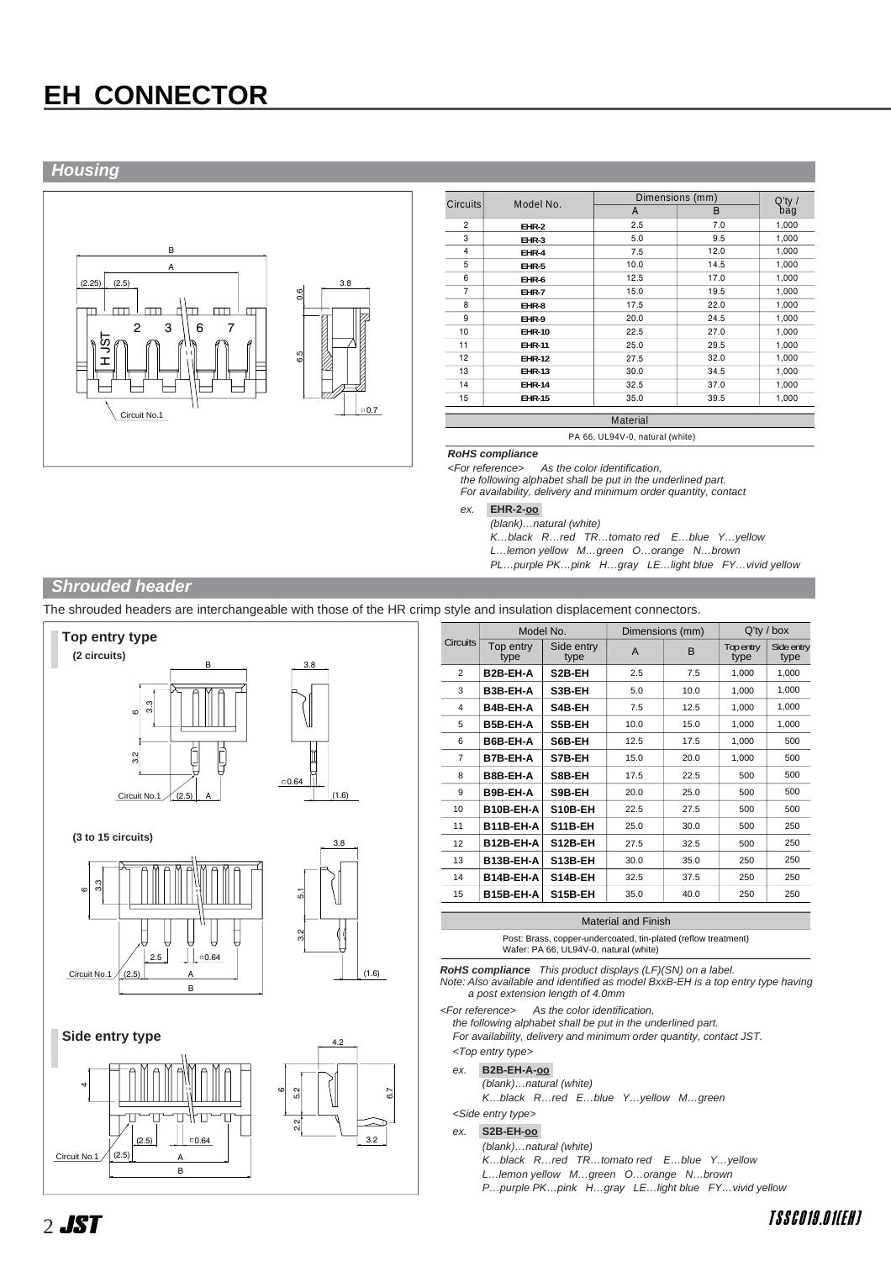# **EH CONNECTOR**

## **Housing**



| Circuits       | Model No.     |      | Dimensions (mm) |                  |  |
|----------------|---------------|------|-----------------|------------------|--|
|                |               | A    | B               | $Q'$ ty /<br>bág |  |
| $\overline{2}$ | EHR-2         | 2.5  | 7.0             | 1,000            |  |
| 3              | EHR-3         | 5.0  | 9.5             | 1,000            |  |
| $\overline{4}$ | EHR-4         | 7.5  | 12.0            | 1,000            |  |
| 5              | EHR-5         | 10.0 | 14.5            | 1,000            |  |
| 6              | EHR-6         | 12.5 | 17.0            | 1,000            |  |
| $\overline{7}$ | EHR-7         | 15.0 | 19.5            | 1,000            |  |
| 8              | EHR-8         | 17.5 | 22.0            | 1,000            |  |
| 9              | EHR-9         | 20.0 | 24.5            | 1,000            |  |
| 10             | <b>EHR-10</b> | 22.5 | 27.0            | 1,000            |  |
| 11             | <b>EHR-11</b> | 25.0 | 29.5            | 1,000            |  |
| 12             | <b>EHR-12</b> | 27.5 | 32.0            | 1,000            |  |
| 13             | <b>EHR-13</b> | 30.0 | 34.5            | 1,000            |  |
| 14             | <b>EHR-14</b> | 32.5 | 37.0            | 1,000            |  |
| 15             | <b>EHR-15</b> | 35.0 | 39.5            | 1,000            |  |

PA 66, UL94V-0, natural (white)

# **RoHS compliance**

As the color identification

the following alphabet shall be put in the underlined part. For availability, delivery and minimum order quantity, contact

ex. **EHR-2-oo-**

(blank)…natural (white)

K…black R…red TR…tomato red E…blue Y…yellow

L…lemon yellow M…green O…orange N…brown

PL…purple PK…pink H…gray LE…light blue FY…vivid yellow

### **Shrouded header**

The shrouded headers are interchangeable with those of the HR crimp style and insulation displacement connectors.









|                 | Model No.             |                     |      | Dimensions (mm) | $Q'$ ty / box     |                    |
|-----------------|-----------------------|---------------------|------|-----------------|-------------------|--------------------|
| <b>Circuits</b> | Top entry<br>type     | Side entry<br>type  | A    | B               | Top entry<br>type | Side entry<br>type |
| $\overline{2}$  | B <sub>2</sub> B-EH-A | S <sub>2</sub> B-EH | 2.5  | 7.5             | 1,000             | 1,000              |
| 3               | B3B-EH-A              | S3B-EH              | 5.0  | 10.0            | 1,000             | 1,000              |
| 4               | B4B-EH-A              | S4B-EH              | 7.5  | 12.5            | 1,000             | 1,000              |
| 5               | B5B-EH-A              | S5B-EH              | 10.0 | 15.0            | 1,000             | 1,000              |
| 6               | B6B-EH-A              | S6B-EH              | 12.5 | 17.5            | 1,000             | 500                |
| 7               | B7B-EH-A              | S7B-EH              | 15.0 | 20.0            | 1.000             | 500                |
| 8               | B8B-EH-A              | S8B-EH              | 17.5 | 22.5            | 500               | 500                |
| 9               | B9B-EH-A              | S9B-EH              | 20.0 | 25.0            | 500               | 500                |
| 10              | B10B-EH-A             | S10B-EH             | 22.5 | 27.5            | 500               | 500                |
| 11              | B11B-EH-A             | S11B-EH             | 25.0 | 30.0            | 500               | 250                |
| 12              | B12B-EH-A             | S12B-EH             | 27.5 | 32.5            | 500               | 250                |
| 13              | B13B-EH-A             | S13B-EH             | 30.0 | 35.0            | 250               | 250                |
| 14              | B14B-EH-A             | S14B-EH             | 32.5 | 37.5            | 250               | 250                |
| 15              | B15B-EH-A             | S15B-EH             | 35.0 | 40.0            | 250               | 250                |

#### Material and Finish

Post: Brass, copper-undercoated, tin-plated (reflow treatment) Wafer: PA 66, UL94V-0, natural (white)

**RoHS compliance** This product displays (LF)(SN) on a label.

Note: Also available and identified as model BxxB-EH is a top entry type having a post extension length of 4.0mm

<For reference> As the color identification,

the following alphabet shall be put in the underlined part.

For availability, delivery and minimum order quantity, contact JST.

## <Top entry type>

- ex. **B2B-EH-A-oo-**
	- (blank)…natural (white) K…black R…red E…blue Y…yellow M…green

<Side entry type>

ex. **S2B-EH-oo-**

#### (blank)…natural (white)

- K…black R…red TR…tomato red E…blue Y…yellow
- L…lemon yellow M…green O…orange N…brown
- P…purple PK…pink H…gray LE…light blue FY…vivid yellow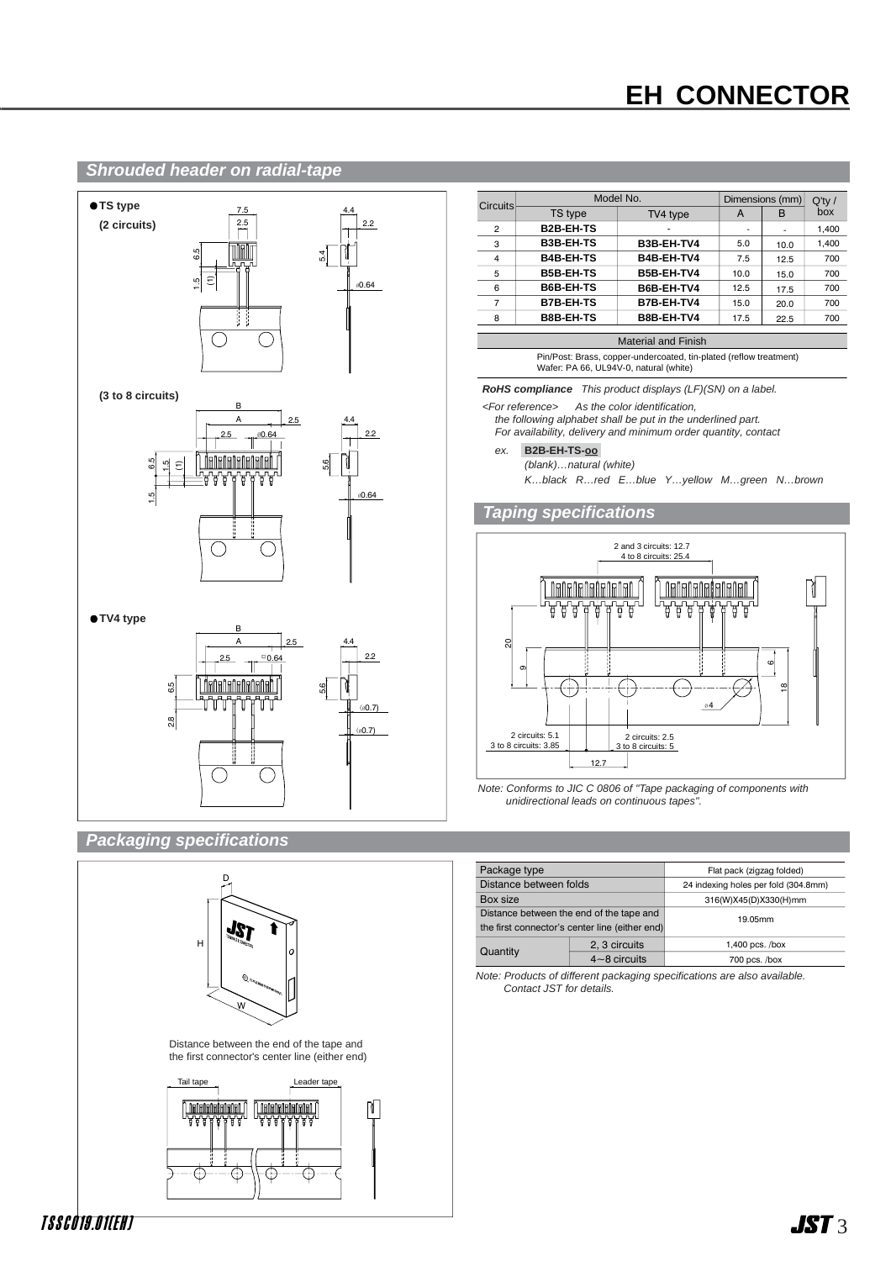# **EH CONNECTOR**

A B

- 10.0 12.5 15.0 17.5 20.0 22.5

6 $\infty$ 

ਸ਼ ቹ

Q'ty / box

- 5.0 7.5 10.0 12.5 15.0 17.5

### **Shrouded header on radial-tape**



| Package type                                   |                  | Flat pack (zigzag folded)            |  |
|------------------------------------------------|------------------|--------------------------------------|--|
| Distance between folds                         |                  | 24 indexing holes per fold (304.8mm) |  |
| Box size                                       |                  | 316(W)X45(D)X330(H)mm                |  |
| Distance between the end of the tape and       |                  | 19.05mm                              |  |
| the first connector's center line (either end) |                  |                                      |  |
| Quantity                                       | 2. 3 circuits    | 1,400 pcs. $/$ box                   |  |
|                                                | $4 - 8$ circuits | $700$ pcs. $/box$                    |  |

Note: Products of different packaging specifications are also available. Contact JST for details.



W

 $\theta$ 

JS7

D

H



T S S C 0 19 .0 1( E H )